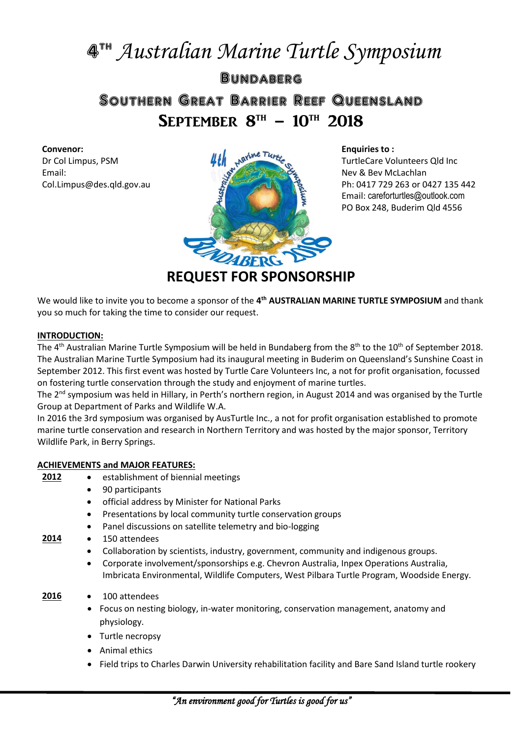# 4 th *Australian Marine Turtle Symposium*

# **BUNDABERG** Southern Great Barrier Reef Queensland SEPTEMBER  $8^{TH}$  – 10<sup>th</sup> 2018

#### **Convenor:**

Dr Col Limpus, PSM Email: Col.Limpus@des.qld.gov.au



**Enquiries to :** TurtleCare Volunteers Qld Inc Nev & Bev McLachlan Ph: 0417 729 263 or 0427 135 442 Email: [careforturtles@outlook.com](mailto:careforturtles@outlook.com) PO Box 248, Buderim Qld 4556

**REQUEST FOR SPONSORSHIP**

We would like to invite you to become a sponsor of the 4<sup>th</sup> AUSTRALIAN MARINE TURTLE SYMPOSIUM and thank you so much for taking the time to consider our request.

#### **INTRODUCTION:**

The 4<sup>th</sup> Australian Marine Turtle Symposium will be held in Bundaberg from the 8<sup>th</sup> to the 10<sup>th</sup> of September 2018. The Australian Marine Turtle Symposium had its inaugural meeting in Buderim on Queensland's Sunshine Coast in September 2012. This first event was hosted by Turtle Care Volunteers Inc, a not for profit organisation, focussed on fostering turtle conservation through the study and enjoyment of marine turtles.

The  $2^{nd}$  symposium was held in Hillary, in Perth's northern region, in August 2014 and was organised by the Turtle Group at Department of Parks and Wildlife W.A.

In 2016 the 3rd symposium was organised by AusTurtle Inc., a not for profit organisation established to promote marine turtle conservation and research in Northern Territory and was hosted by the major sponsor, Territory Wildlife Park, in Berry Springs.

# **ACHIEVEMENTS and MAJOR FEATURES:**

- **2012** establishment of biennial meetings
	- 90 participants
	- official address by Minister for National Parks
	- Presentations by local community turtle conservation groups
	- Panel discussions on satellite telemetry and bio-logging
- **2014** 150 attendees
	- Collaboration by scientists, industry, government, community and indigenous groups.
	- Corporate involvement/sponsorships e.g. Chevron Australia, Inpex Operations Australia, Imbricata Environmental, Wildlife Computers, West Pilbara Turtle Program, Woodside Energy.
- **2016** 100 attendees
	- Focus on nesting biology, in-water monitoring, conservation management, anatomy and physiology.
	- Turtle necropsy
	- Animal ethics
	- Field trips to Charles Darwin University rehabilitation facility and Bare Sand Island turtle rookery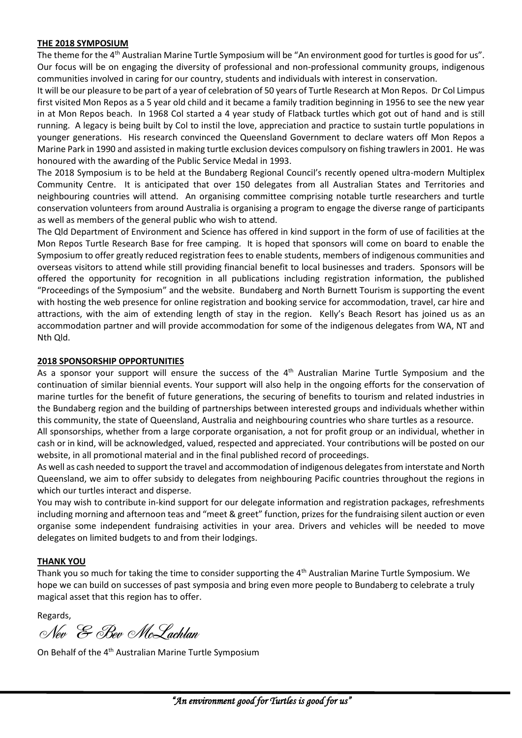#### **THE 2018 SYMPOSIUM**

The theme for the 4th Australian Marine Turtle Symposium will be "An environment good for turtles is good for us". Our focus will be on engaging the diversity of professional and non-professional community groups, indigenous communities involved in caring for our country, students and individuals with interest in conservation.

It will be our pleasure to be part of a year of celebration of 50 years of Turtle Research at Mon Repos. Dr Col Limpus first visited Mon Repos as a 5 year old child and it became a family tradition beginning in 1956 to see the new year in at Mon Repos beach. In 1968 Col started a 4 year study of Flatback turtles which got out of hand and is still running. A legacy is being built by Col to instil the love, appreciation and practice to sustain turtle populations in younger generations. His research convinced the Queensland Government to declare waters off Mon Repos a Marine Park in 1990 and assisted in making turtle exclusion devices compulsory on fishing trawlers in 2001. He was honoured with the awarding of the Public Service Medal in 1993.

The 2018 Symposium is to be held at the Bundaberg Regional Council's recently opened ultra-modern Multiplex Community Centre. It is anticipated that over 150 delegates from all Australian States and Territories and neighbouring countries will attend. An organising committee comprising notable turtle researchers and turtle conservation volunteers from around Australia is organising a program to engage the diverse range of participants as well as members of the general public who wish to attend.

The Qld Department of Environment and Science has offered in kind support in the form of use of facilities at the Mon Repos Turtle Research Base for free camping. It is hoped that sponsors will come on board to enable the Symposium to offer greatly reduced registration fees to enable students, members of indigenous communities and overseas visitors to attend while still providing financial benefit to local businesses and traders. Sponsors will be offered the opportunity for recognition in all publications including registration information, the published "Proceedings of the Symposium" and the website. Bundaberg and North Burnett Tourism is supporting the event with hosting the web presence for online registration and booking service for accommodation, travel, car hire and attractions, with the aim of extending length of stay in the region. Kelly's Beach Resort has joined us as an accommodation partner and will provide accommodation for some of the indigenous delegates from WA, NT and Nth Qld.

# **2018 SPONSORSHIP OPPORTUNITIES**

As a sponsor your support will ensure the success of the 4<sup>th</sup> Australian Marine Turtle Symposium and the continuation of similar biennial events. Your support will also help in the ongoing efforts for the conservation of marine turtles for the benefit of future generations, the securing of benefits to tourism and related industries in the Bundaberg region and the building of partnerships between interested groups and individuals whether within this community, the state of Queensland, Australia and neighbouring countries who share turtles as a resource.

All sponsorships, whether from a large corporate organisation, a not for profit group or an individual, whether in cash or in kind, will be acknowledged, valued, respected and appreciated. Your contributions will be posted on our website, in all promotional material and in the final published record of proceedings.

As well as cash needed to support the travel and accommodation of indigenous delegates from interstate and North Queensland, we aim to offer subsidy to delegates from neighbouring Pacific countries throughout the regions in which our turtles interact and disperse.

You may wish to contribute in-kind support for our delegate information and registration packages, refreshments including morning and afternoon teas and "meet & greet" function, prizes for the fundraising silent auction or even organise some independent fundraising activities in your area. Drivers and vehicles will be needed to move delegates on limited budgets to and from their lodgings.

# **THANK YOU**

Thank you so much for taking the time to consider supporting the 4th Australian Marine Turtle Symposium. We hope we can build on successes of past symposia and bring even more people to Bundaberg to celebrate a truly magical asset that this region has to offer.

Regards,

Nev & Bev McLachlan

On Behalf of the 4<sup>th</sup> Australian Marine Turtle Symposium